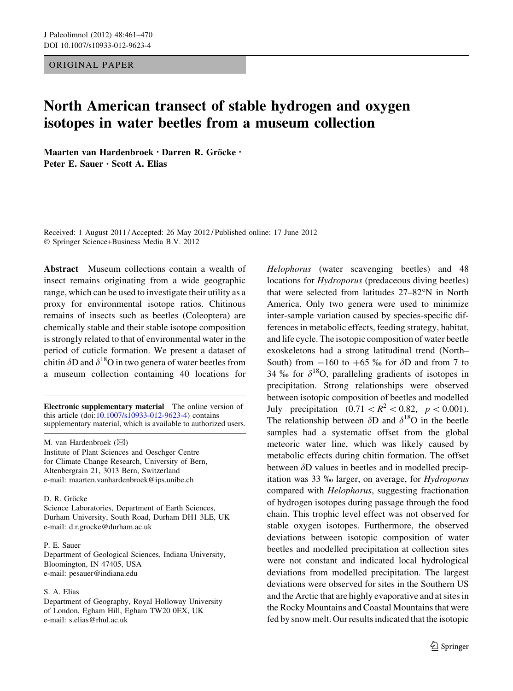# ORIGINAL PAPER

# North American transect of stable hydrogen and oxygen isotopes in water beetles from a museum collection

Maarten van Hardenbroek · Darren R. Gröcke · Peter E. Sauer • Scott A. Elias

Received: 1 August 2011 / Accepted: 26 May 2012 / Published online: 17 June 2012 © Springer Science+Business Media B.V. 2012

Abstract Museum collections contain a wealth of insect remains originating from a wide geographic range, which can be used to investigate their utility as a proxy for environmental isotope ratios. Chitinous remains of insects such as beetles (Coleoptera) are chemically stable and their stable isotope composition is strongly related to that of environmental water in the period of cuticle formation. We present a dataset of chitin  $\delta$ D and  $\delta$ <sup>18</sup>O in two genera of water beetles from a museum collection containing 40 locations for

Electronic supplementary material The online version of this article (doi[:10.1007/s10933-012-9623-4\)](http://dx.doi.org/10.1007/s10933-012-9623-4) contains supplementary material, which is available to authorized users.

M. van Hardenbroek  $(\boxtimes)$ 

Institute of Plant Sciences and Oeschger Centre for Climate Change Research, University of Bern, Altenbergrain 21, 3013 Bern, Switzerland e-mail: maarten.vanhardenbroek@ips.unibe.ch

### D. R. Gröcke

Science Laboratories, Department of Earth Sciences, Durham University, South Road, Durham DH1 3LE, UK e-mail: d.r.grocke@durham.ac.uk

#### P. E. Sauer

Department of Geological Sciences, Indiana University, Bloomington, IN 47405, USA e-mail: pesauer@indiana.edu

#### S. A. Elias

Department of Geography, Royal Holloway University of London, Egham Hill, Egham TW20 0EX, UK e-mail: s.elias@rhul.ac.uk

Helophorus (water scavenging beetles) and 48 locations for Hydroporus (predaceous diving beetles) that were selected from latitudes  $27-82^{\circ}N$  in North America. Only two genera were used to minimize inter-sample variation caused by species-specific differences in metabolic effects, feeding strategy, habitat, and life cycle. The isotopic composition of water beetle exoskeletons had a strong latitudinal trend (North– South) from  $-160$  to  $+65$  ‰ for  $\delta$ D and from 7 to 34 % for  $\delta^{18}O$ , paralleling gradients of isotopes in precipitation. Strong relationships were observed between isotopic composition of beetles and modelled July precipitation  $(0.71 < R^2 < 0.82, p < 0.001)$ . The relationship between  $\delta$ D and  $\delta$ <sup>18</sup>O in the beetle samples had a systematic offset from the global meteoric water line, which was likely caused by metabolic effects during chitin formation. The offset between  $\delta$ D values in beetles and in modelled precipitation was 33  $\%$  larger, on average, for *Hydroporus* compared with Helophorus, suggesting fractionation of hydrogen isotopes during passage through the food chain. This trophic level effect was not observed for stable oxygen isotopes. Furthermore, the observed deviations between isotopic composition of water beetles and modelled precipitation at collection sites were not constant and indicated local hydrological deviations from modelled precipitation. The largest deviations were observed for sites in the Southern US and the Arctic that are highly evaporative and at sites in the Rocky Mountains and Coastal Mountains that were fed by snow melt. Our results indicated that the isotopic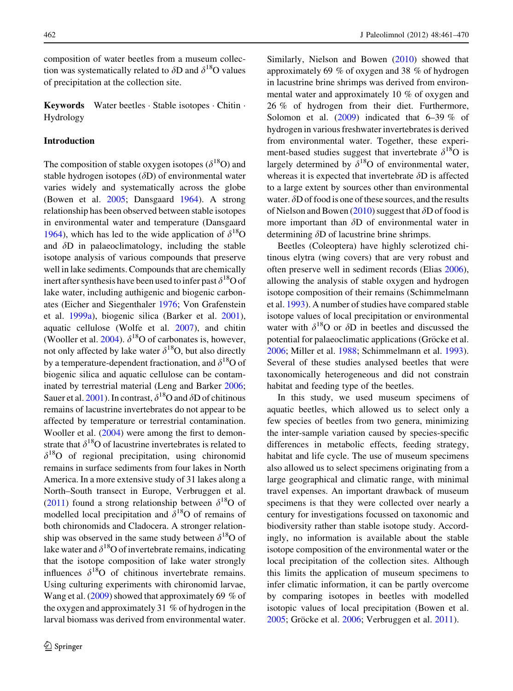composition of water beetles from a museum collection was systematically related to  $\delta$ D and  $\delta^{18}$ O values of precipitation at the collection site.

Keywords Water beetles - Stable isotopes - Chitin - Hydrology

## Introduction

The composition of stable oxygen isotopes ( $\delta^{18}O$ ) and stable hydrogen isotopes  $(\delta D)$  of environmental water varies widely and systematically across the globe (Bowen et al. [2005;](#page-8-0) Dansgaard [1964\)](#page-8-0). A strong relationship has been observed between stable isotopes in environmental water and temperature (Dansgaard [1964\)](#page-8-0), which has led to the wide application of  $\delta^{18}O$ and  $\delta$ D in palaeoclimatology, including the stable isotope analysis of various compounds that preserve well in lake sediments. Compounds that are chemically inert after synthesis have been used to infer past  $\delta^{18}O$  of lake water, including authigenic and biogenic carbonates (Eicher and Siegenthaler [1976](#page-8-0); Von Grafenstein et al. [1999a](#page-9-0)), biogenic silica (Barker et al. [2001](#page-8-0)), aquatic cellulose (Wolfe et al. [2007\)](#page-9-0), and chitin (Wooller et al. [2004](#page-9-0)).  $\delta^{18}$ O of carbonates is, however, not only affected by lake water  $\delta^{18}O$ , but also directly by a temperature-dependent fractionation, and  $\delta^{18}$ O of biogenic silica and aquatic cellulose can be contaminated by terrestrial material (Leng and Barker [2006](#page-8-0); Sauer et al. [2001](#page-9-0)). In contrast,  $\delta^{18}$ O and  $\delta$ D of chitinous remains of lacustrine invertebrates do not appear to be affected by temperature or terrestrial contamination. Wooller et al. ([2004\)](#page-9-0) were among the first to demonstrate that  $\delta^{18}$ O of lacustrine invertebrates is related to  $\delta^{18}$ O of regional precipitation, using chironomid remains in surface sediments from four lakes in North America. In a more extensive study of 31 lakes along a North–South transect in Europe, Verbruggen et al. [\(2011](#page-9-0)) found a strong relationship between  $\delta^{18}O$  of modelled local precipitation and  $\delta^{18}$ O of remains of both chironomids and Cladocera. A stronger relationship was observed in the same study between  $\delta^{18}$ O of lake water and  $\delta^{18}$ O of invertebrate remains, indicating that the isotope composition of lake water strongly influences  $\delta^{18}$ O of chitinous invertebrate remains. Using culturing experiments with chironomid larvae, Wang et al. [\(2009](#page-9-0)) showed that approximately 69 % of the oxygen and approximately 31 % of hydrogen in the larval biomass was derived from environmental water.

Similarly, Nielson and Bowen ([2010\)](#page-9-0) showed that approximately 69 % of oxygen and 38 % of hydrogen in lacustrine brine shrimps was derived from environmental water and approximately 10 % of oxygen and 26 % of hydrogen from their diet. Furthermore, Solomon et al. [\(2009](#page-9-0)) indicated that 6–39 % of hydrogen in various freshwater invertebrates is derived from environmental water. Together, these experiment-based studies suggest that invertebrate  $\delta^{18}O$  is largely determined by  $\delta^{18}$ O of environmental water, whereas it is expected that invertebrate  $\delta$ D is affected to a large extent by sources other than environmental water.  $\delta D$  of food is one of these sources, and the results of Nielson and Bowen ([2010\)](#page-9-0) suggest that  $\delta D$  of food is more important than  $\delta$ D of environmental water in determining  $\delta$ D of lacustrine brine shrimps.

Beetles (Coleoptera) have highly sclerotized chitinous elytra (wing covers) that are very robust and often preserve well in sediment records (Elias [2006](#page-8-0)), allowing the analysis of stable oxygen and hydrogen isotope composition of their remains (Schimmelmann et al. [1993\)](#page-9-0). A number of studies have compared stable isotope values of local precipitation or environmental water with  $\delta^{18}$ O or  $\delta$ D in beetles and discussed the potential for palaeoclimatic applications (Gröcke et al. [2006;](#page-8-0) Miller et al. [1988;](#page-9-0) Schimmelmann et al. [1993](#page-9-0)). Several of these studies analysed beetles that were taxonomically heterogeneous and did not constrain habitat and feeding type of the beetles.

In this study, we used museum specimens of aquatic beetles, which allowed us to select only a few species of beetles from two genera, minimizing the inter-sample variation caused by species-specific differences in metabolic effects, feeding strategy, habitat and life cycle. The use of museum specimens also allowed us to select specimens originating from a large geographical and climatic range, with minimal travel expenses. An important drawback of museum specimens is that they were collected over nearly a century for investigations focussed on taxonomic and biodiversity rather than stable isotope study. Accordingly, no information is available about the stable isotope composition of the environmental water or the local precipitation of the collection sites. Although this limits the application of museum specimens to infer climatic information, it can be partly overcome by comparing isotopes in beetles with modelled isotopic values of local precipitation (Bowen et al. [2005;](#page-8-0) Gröcke et al. [2006](#page-8-0); Verbruggen et al. [2011\)](#page-9-0).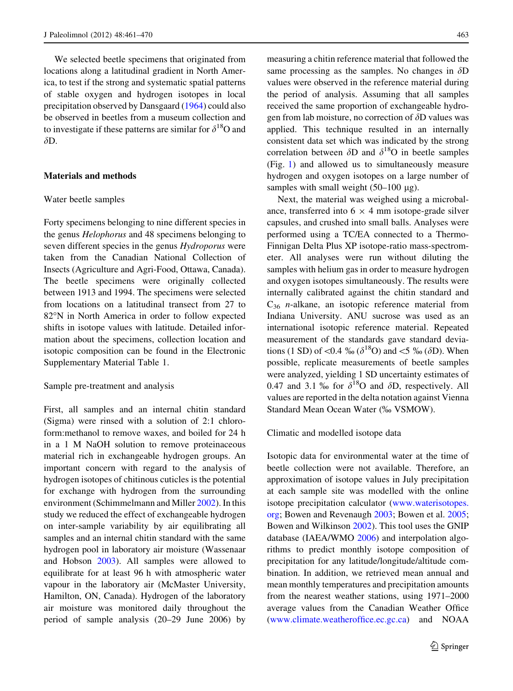We selected beetle specimens that originated from locations along a latitudinal gradient in North America, to test if the strong and systematic spatial patterns of stable oxygen and hydrogen isotopes in local precipitation observed by Dansgaard ([1964\)](#page-8-0) could also be observed in beetles from a museum collection and to investigate if these patterns are similar for  $\delta^{18}O$  and  $\delta D$ .

# Materials and methods

#### Water beetle samples

Forty specimens belonging to nine different species in the genus Helophorus and 48 specimens belonging to seven different species in the genus Hydroporus were taken from the Canadian National Collection of Insects (Agriculture and Agri-Food, Ottawa, Canada). The beetle specimens were originally collected between 1913 and 1994. The specimens were selected from locations on a latitudinal transect from 27 to 82°N in North America in order to follow expected shifts in isotope values with latitude. Detailed information about the specimens, collection location and isotopic composition can be found in the Electronic Supplementary Material Table 1.

#### Sample pre-treatment and analysis

First, all samples and an internal chitin standard (Sigma) were rinsed with a solution of 2:1 chloroform:methanol to remove waxes, and boiled for 24 h in a 1 M NaOH solution to remove proteinaceous material rich in exchangeable hydrogen groups. An important concern with regard to the analysis of hydrogen isotopes of chitinous cuticles is the potential for exchange with hydrogen from the surrounding environment (Schimmelmann and Miller [2002](#page-9-0)). In this study we reduced the effect of exchangeable hydrogen on inter-sample variability by air equilibrating all samples and an internal chitin standard with the same hydrogen pool in laboratory air moisture (Wassenaar and Hobson [2003\)](#page-9-0). All samples were allowed to equilibrate for at least 96 h with atmospheric water vapour in the laboratory air (McMaster University, Hamilton, ON, Canada). Hydrogen of the laboratory air moisture was monitored daily throughout the period of sample analysis (20–29 June 2006) by measuring a chitin reference material that followed the same processing as the samples. No changes in  $\delta D$ values were observed in the reference material during the period of analysis. Assuming that all samples received the same proportion of exchangeable hydrogen from lab moisture, no correction of  $\delta$ D values was applied. This technique resulted in an internally consistent data set which was indicated by the strong correlation between  $\delta$ D and  $\delta$ <sup>18</sup>O in beetle samples (Fig. [1](#page-3-0)) and allowed us to simultaneously measure hydrogen and oxygen isotopes on a large number of samples with small weight  $(50-100 \text{ µg})$ .

Next, the material was weighed using a microbalance, transferred into  $6 \times 4$  mm isotope-grade silver capsules, and crushed into small balls. Analyses were performed using a TC/EA connected to a Thermo-Finnigan Delta Plus XP isotope-ratio mass-spectrometer. All analyses were run without diluting the samples with helium gas in order to measure hydrogen and oxygen isotopes simultaneously. The results were internally calibrated against the chitin standard and  $C_{36}$  *n*-alkane, an isotopic reference material from Indiana University. ANU sucrose was used as an international isotopic reference material. Repeated measurement of the standards gave standard deviations (1 SD) of <0.4 % ( $\delta^{18}$ O) and <5 % ( $\delta$ D). When possible, replicate measurements of beetle samples were analyzed, yielding 1 SD uncertainty estimates of 0.47 and 3.1 % for  $\delta^{18}$ O and  $\delta$ D, respectively. All values are reported in the delta notation against Vienna Standard Mean Ocean Water (‰ VSMOW).

Climatic and modelled isotope data

Isotopic data for environmental water at the time of beetle collection were not available. Therefore, an approximation of isotope values in July precipitation at each sample site was modelled with the online isotope precipitation calculator ([www.waterisotopes.](http://www.waterisotopes.org) [org](http://www.waterisotopes.org); Bowen and Revenaugh [2003](#page-8-0); Bowen et al. [2005](#page-8-0); Bowen and Wilkinson [2002\)](#page-8-0). This tool uses the GNIP database (IAEA/WMO [2006](#page-8-0)) and interpolation algorithms to predict monthly isotope composition of precipitation for any latitude/longitude/altitude combination. In addition, we retrieved mean annual and mean monthly temperatures and precipitation amounts from the nearest weather stations, using 1971–2000 average values from the Canadian Weather Office [\(www.climate.weatheroffice.ec.gc.ca\)](http://www.climate.weatheroffice.ec.gc.ca) and NOAA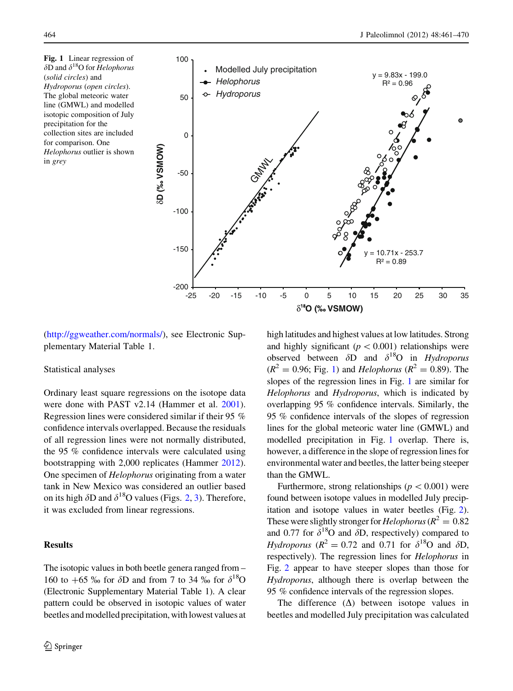<span id="page-3-0"></span>Fig. 1 Linear regression of  $\delta$ D and  $\delta$ <sup>18</sup>O for *Helophorus* (solid circles) and Hydroporus (open circles). The global meteoric water line (GMWL) and modelled isotopic composition of July precipitation for the collection sites are included for comparison. One Helophorus outlier is shown in grey



[\(http://ggweather.com/normals/](http://ggweather.com/normals/)), see Electronic Supplementary Material Table 1.

### Statistical analyses

Ordinary least square regressions on the isotope data were done with PAST v2.14 (Hammer et al. [2001](#page-8-0)). Regression lines were considered similar if their 95 % confidence intervals overlapped. Because the residuals of all regression lines were not normally distributed, the 95 % confidence intervals were calculated using bootstrapping with 2,000 replicates (Hammer [2012](#page-8-0)). One specimen of Helophorus originating from a water tank in New Mexico was considered an outlier based on its high  $\delta$ D and  $\delta$ <sup>18</sup>O values (Figs. [2,](#page-4-0) [3](#page-5-0)). Therefore, it was excluded from linear regressions.

# Results

The isotopic values in both beetle genera ranged from – 160 to  $+65\%$  for  $\delta D$  and from 7 to 34 % for  $\delta^{18}O$ (Electronic Supplementary Material Table 1). A clear pattern could be observed in isotopic values of water beetles and modelled precipitation, with lowest values at high latitudes and highest values at low latitudes. Strong and highly significant ( $p < 0.001$ ) relationships were observed between  $\delta D$  and  $\delta^{18}O$  in Hydroporus  $(R^{2} = 0.96;$  Fig. 1) and *Helophorus* ( $R^{2} = 0.89$ ). The slopes of the regression lines in Fig. 1 are similar for Helophorus and Hydroporus, which is indicated by overlapping 95 % confidence intervals. Similarly, the 95 % confidence intervals of the slopes of regression lines for the global meteoric water line (GMWL) and modelled precipitation in Fig. 1 overlap. There is, however, a difference in the slope of regression lines for environmental water and beetles, the latter being steeper than the GMWL.

Furthermore, strong relationships ( $p < 0.001$ ) were found between isotope values in modelled July precipitation and isotope values in water beetles (Fig. [2\)](#page-4-0). These were slightly stronger for *Helophorus* ( $R^2 = 0.82$ ) and 0.77 for  $\delta^{18}$ O and  $\delta$ D, respectively) compared to *Hydroporus* ( $R^2 = 0.72$  and 0.71 for  $\delta^{18}$ O and  $\delta$ D, respectively). The regression lines for Helophorus in Fig. [2](#page-4-0) appear to have steeper slopes than those for Hydroporus, although there is overlap between the 95 % confidence intervals of the regression slopes.

The difference  $(\Delta)$  between isotope values in beetles and modelled July precipitation was calculated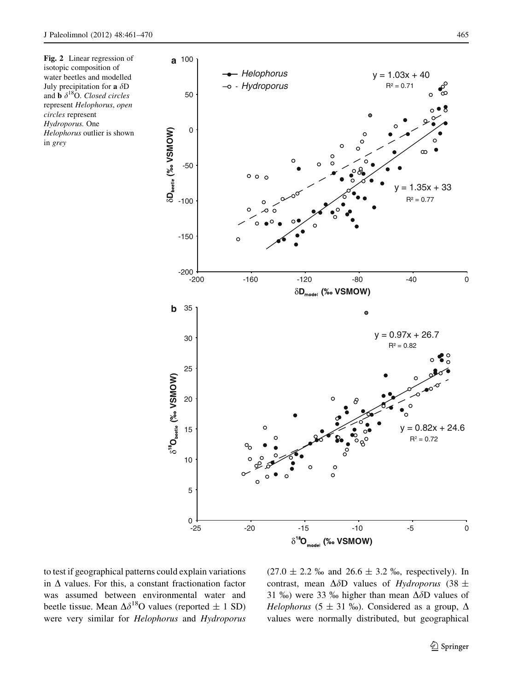<span id="page-4-0"></span>Fig. 2 Linear regression of isotopic composition of water beetles and modelled July precipitation for a  $\delta \mathrm{D}$ and **b**  $\delta^{18}$ O. Closed circles represent Helophorus, open circles represent Hydroporus. One Helophorus outlier is shown in grey



to test if geographical patterns could explain variations in  $\Delta$  values. For this, a constant fractionation factor was assumed between environmental water and beetle tissue. Mean  $\Delta \delta^{18}$ O values (reported  $\pm$  1 SD) were very similar for Helophorus and Hydroporus  $(27.0 \pm 2.2 \text{ %}$  and  $26.6 \pm 3.2 \text{ %}$ , respectively). In contrast, mean  $\Delta \delta D$  values of Hydroporus (38  $\pm$ 31 %) were 33 % higher than mean  $\Delta \delta D$  values of *Helophorus* (5  $\pm$  31 ‰). Considered as a group,  $\Delta$ values were normally distributed, but geographical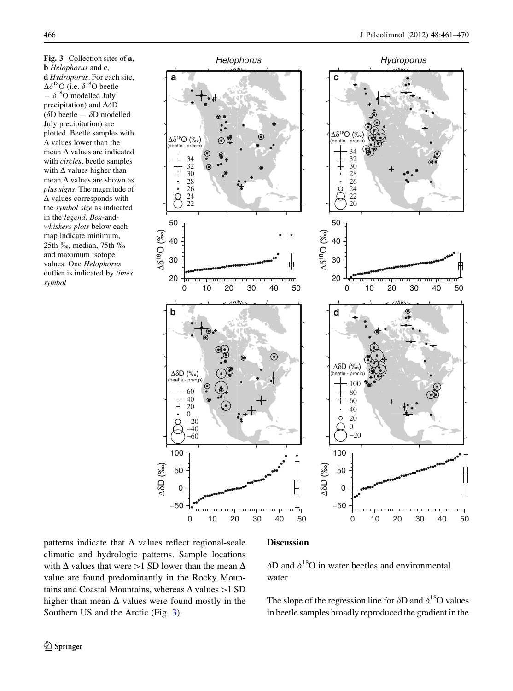<span id="page-5-0"></span>Fig. 3 Collection sites of a, **b** Helophorus and **c**, d Hydroporus. For each site,  $\Delta\delta^{18}$ O (i.e.  $\delta^{18}$ O beetle  $- \delta^{18}O$  modelled July precipitation) and  $\Delta \delta D$ ( $\delta$ D beetle -  $\delta$ D modelled July precipitation) are plotted. Beetle samples with  $\Delta$  values lower than the mean  $\Delta$  values are indicated with circles, beetle samples with  $\Delta$  values higher than mean  $\Delta$  values are shown as plus signs. The magnitude of  $\Delta$  values corresponds with the symbol size as indicated in the legend. Box-andwhiskers plots below each map indicate minimum, 25th %, median, 75th % and maximum isotope values. One Helophorus outlier is indicated by times symbol



patterns indicate that  $\Delta$  values reflect regional-scale climatic and hydrologic patterns. Sample locations with  $\Delta$  values that were  $>1$  SD lower than the mean  $\Delta$ value are found predominantly in the Rocky Mountains and Coastal Mountains, whereas  $\Delta$  values  $>1$  SD higher than mean  $\Delta$  values were found mostly in the Southern US and the Arctic (Fig. 3).

# Discussion

 $\delta$ D and  $\delta$ <sup>18</sup>O in water beetles and environmental water

The slope of the regression line for  $\delta$ D and  $\delta$ <sup>18</sup>O values in beetle samples broadly reproduced the gradient in the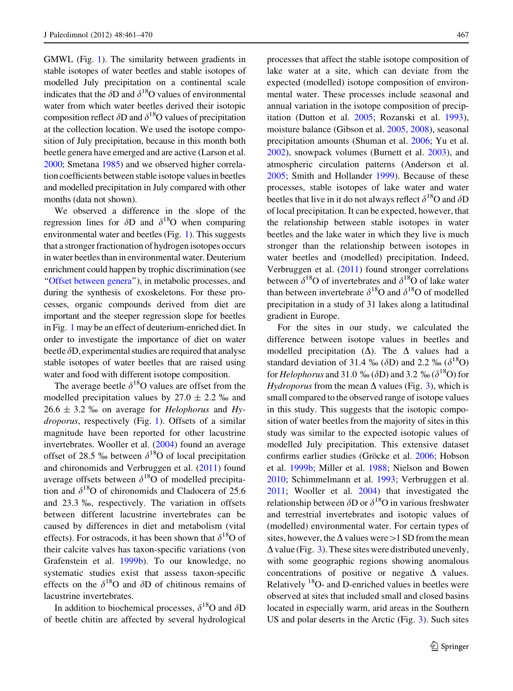GMWL (Fig. [1\)](#page-3-0). The similarity between gradients in stable isotopes of water beetles and stable isotopes of modelled July precipitation on a continental scale indicates that the  $\delta$ D and  $\delta$ <sup>18</sup>O values of environmental water from which water beetles derived their isotopic composition reflect  $\delta$ D and  $\delta$ <sup>18</sup>O values of precipitation at the collection location. We used the isotope composition of July precipitation, because in this month both beetle genera have emerged and are active (Larson et al. [2000](#page-8-0); Smetana [1985](#page-9-0)) and we observed higher correlation coefficients between stable isotope values in beetles and modelled precipitation in July compared with other months (data not shown).

We observed a difference in the slope of the regression lines for  $\delta D$  and  $\delta^{18}O$  when comparing environmental water and beetles (Fig. [1\)](#page-3-0). This suggests that a stronger fractionation of hydrogen isotopes occurs in water beetles than in environmental water. Deuterium enrichment could happen by trophic discrimination (see '['Offset between genera](#page-7-0)''), in metabolic processes, and during the synthesis of exoskeletons. For these processes, organic compounds derived from diet are important and the steeper regression slope for beetles in Fig. [1](#page-3-0) may be an effect of deuterium-enriched diet. In order to investigate the importance of diet on water beetle  $\delta$ D, experimental studies are required that analyse stable isotopes of water beetles that are raised using water and food with different isotope composition.

The average beetle  $\delta^{18}$ O values are offset from the modelled precipitation values by  $27.0 \pm 2.2$  ‰ and  $26.6 \pm 3.2$  ‰ on average for *Helophorus* and *Hy*droporus, respectively (Fig. [1](#page-3-0)). Offsets of a similar magnitude have been reported for other lacustrine invertebrates. Wooller et al. [\(2004](#page-9-0)) found an average offset of 28.5 ‰ between  $\delta^{18}$ O of local precipitation and chironomids and Verbruggen et al. [\(2011](#page-9-0)) found average offsets between  $\delta^{18}$ O of modelled precipitation and  $\delta^{18}$ O of chironomids and Cladocera of 25.6 and 23.3 %, respectively. The variation in offsets between different lacustrine invertebrates can be caused by differences in diet and metabolism (vital effects). For ostracods, it has been shown that  $\delta^{18}O$  of their calcite valves has taxon-specific variations (von Grafenstein et al. [1999b\)](#page-9-0). To our knowledge, no systematic studies exist that assess taxon-specific effects on the  $\delta^{18}$ O and  $\delta$ D of chitinous remains of lacustrine invertebrates.

In addition to biochemical processes,  $\delta^{18}O$  and  $\delta D$ of beetle chitin are affected by several hydrological processes that affect the stable isotope composition of lake water at a site, which can deviate from the expected (modelled) isotope composition of environmental water. These processes include seasonal and annual variation in the isotope composition of precipitation (Dutton et al. [2005](#page-8-0); Rozanski et al. [1993](#page-9-0)), moisture balance (Gibson et al. [2005,](#page-8-0) [2008\)](#page-8-0), seasonal precipitation amounts (Shuman et al. [2006;](#page-9-0) Yu et al. [2002\)](#page-9-0), snowpack volumes (Burnett et al. [2003](#page-8-0)), and atmospheric circulation patterns (Anderson et al. [2005;](#page-8-0) Smith and Hollander [1999](#page-9-0)). Because of these processes, stable isotopes of lake water and water beetles that live in it do not always reflect  $\delta^{18}O$  and  $\delta D$ of local precipitation. It can be expected, however, that the relationship between stable isotopes in water beetles and the lake water in which they live is much stronger than the relationship between isotopes in water beetles and (modelled) precipitation. Indeed, Verbruggen et al. [\(2011](#page-9-0)) found stronger correlations between  $\delta^{18}$ O of invertebrates and  $\delta^{18}$ O of lake water than between invertebrate  $\delta^{18}$ O and  $\delta^{18}$ O of modelled precipitation in a study of 31 lakes along a latitudinal gradient in Europe.

For the sites in our study, we calculated the difference between isotope values in beetles and modelled precipitation  $(\Delta)$ . The  $\Delta$  values had a standard deviation of 31.4 ‰ ( $\delta$ D) and 2.2 ‰ ( $\delta$ <sup>18</sup>O) for *Helophorus* and 31.0 ‰ ( $\delta$ D) and 3.2 ‰ ( $\delta$ <sup>18</sup>O) for *Hydroporus* from the mean  $\Delta$  values (Fig. [3](#page-5-0)), which is small compared to the observed range of isotope values in this study. This suggests that the isotopic composition of water beetles from the majority of sites in this study was similar to the expected isotopic values of modelled July precipitation. This extensive dataset confirms earlier studies (Gröcke et al. [2006](#page-8-0); Hobson et al. [1999b;](#page-8-0) Miller et al. [1988](#page-9-0); Nielson and Bowen [2010;](#page-9-0) Schimmelmann et al. [1993;](#page-9-0) Verbruggen et al. [2011;](#page-9-0) Wooller et al. [2004](#page-9-0)) that investigated the relationship between  $\delta$ D or  $\delta^{18}$ O in various freshwater and terrestrial invertebrates and isotopic values of (modelled) environmental water. For certain types of sites, however, the  $\Delta$  values were  $>1$  SD from the mean  $\Delta$  value (Fig. [3\)](#page-5-0). These sites were distributed unevenly, with some geographic regions showing anomalous concentrations of positive or negative  $\Delta$  values. Relatively 18O- and D-enriched values in beetles were observed at sites that included small and closed basins located in especially warm, arid areas in the Southern US and polar deserts in the Arctic (Fig. [3](#page-5-0)). Such sites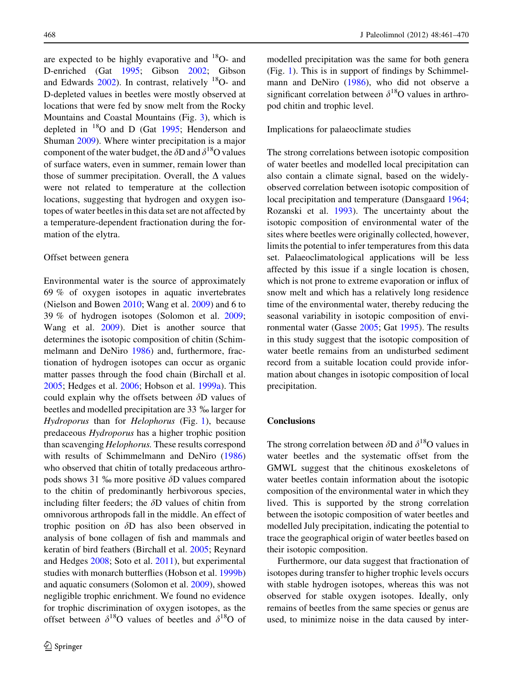<span id="page-7-0"></span>are expected to be highly evaporative and  $^{18}$ O- and D-enriched (Gat [1995](#page-8-0); Gibson [2002;](#page-8-0) Gibson and Edwards  $2002$ ). In contrast, relatively  $^{18}$ O- and D-depleted values in beetles were mostly observed at locations that were fed by snow melt from the Rocky Mountains and Coastal Mountains (Fig. [3](#page-5-0)), which is depleted in  $^{18}$ O and D (Gat [1995;](#page-8-0) Henderson and Shuman [2009](#page-8-0)). Where winter precipitation is a major component of the water budget, the  $\delta$ D and  $\delta$ <sup>18</sup>O values of surface waters, even in summer, remain lower than those of summer precipitation. Overall, the  $\Delta$  values were not related to temperature at the collection locations, suggesting that hydrogen and oxygen isotopes of water beetles in this data set are not affected by a temperature-dependent fractionation during the formation of the elytra.

#### Offset between genera

Environmental water is the source of approximately 69 % of oxygen isotopes in aquatic invertebrates (Nielson and Bowen [2010](#page-9-0); Wang et al. [2009](#page-9-0)) and 6 to 39 % of hydrogen isotopes (Solomon et al. [2009](#page-9-0); Wang et al. [2009\)](#page-9-0). Diet is another source that determines the isotopic composition of chitin (Schimmelmann and DeNiro [1986\)](#page-9-0) and, furthermore, fractionation of hydrogen isotopes can occur as organic matter passes through the food chain (Birchall et al. [2005;](#page-8-0) Hedges et al. [2006](#page-8-0); Hobson et al. [1999a\)](#page-8-0). This could explain why the offsets between  $\delta$ D values of beetles and modelled precipitation are 33  $\%$  larger for Hydroporus than for Helophorus (Fig. [1](#page-3-0)), because predaceous Hydroporus has a higher trophic position than scavenging *Helophorus*. These results correspond with results of Schimmelmann and DeNiro ([1986\)](#page-9-0) who observed that chitin of totally predaceous arthropods shows 31  $\%$  more positive  $\delta$ D values compared to the chitin of predominantly herbivorous species, including filter feeders; the  $\delta$ D values of chitin from omnivorous arthropods fall in the middle. An effect of trophic position on  $\delta$ D has also been observed in analysis of bone collagen of fish and mammals and keratin of bird feathers (Birchall et al. [2005;](#page-8-0) Reynard and Hedges [2008;](#page-9-0) Soto et al. [2011\)](#page-9-0), but experimental studies with monarch butterflies (Hobson et al. [1999b\)](#page-8-0) and aquatic consumers (Solomon et al. [2009\)](#page-9-0), showed negligible trophic enrichment. We found no evidence for trophic discrimination of oxygen isotopes, as the offset between  $\delta^{18}$ O values of beetles and  $\delta^{18}$ O of modelled precipitation was the same for both genera (Fig. [1](#page-3-0)). This is in support of findings by Schimmelmann and DeNiro [\(1986](#page-9-0)), who did not observe a significant correlation between  $\delta^{18}$ O values in arthropod chitin and trophic level.

# Implications for palaeoclimate studies

The strong correlations between isotopic composition of water beetles and modelled local precipitation can also contain a climate signal, based on the widelyobserved correlation between isotopic composition of local precipitation and temperature (Dansgaard [1964;](#page-8-0) Rozanski et al. [1993](#page-9-0)). The uncertainty about the isotopic composition of environmental water of the sites where beetles were originally collected, however, limits the potential to infer temperatures from this data set. Palaeoclimatological applications will be less affected by this issue if a single location is chosen, which is not prone to extreme evaporation or influx of snow melt and which has a relatively long residence time of the environmental water, thereby reducing the seasonal variability in isotopic composition of environmental water (Gasse [2005;](#page-8-0) Gat [1995\)](#page-8-0). The results in this study suggest that the isotopic composition of water beetle remains from an undisturbed sediment record from a suitable location could provide information about changes in isotopic composition of local precipitation.

# **Conclusions**

The strong correlation between  $\delta$ D and  $\delta$ <sup>18</sup>O values in water beetles and the systematic offset from the GMWL suggest that the chitinous exoskeletons of water beetles contain information about the isotopic composition of the environmental water in which they lived. This is supported by the strong correlation between the isotopic composition of water beetles and modelled July precipitation, indicating the potential to trace the geographical origin of water beetles based on their isotopic composition.

Furthermore, our data suggest that fractionation of isotopes during transfer to higher trophic levels occurs with stable hydrogen isotopes, whereas this was not observed for stable oxygen isotopes. Ideally, only remains of beetles from the same species or genus are used, to minimize noise in the data caused by inter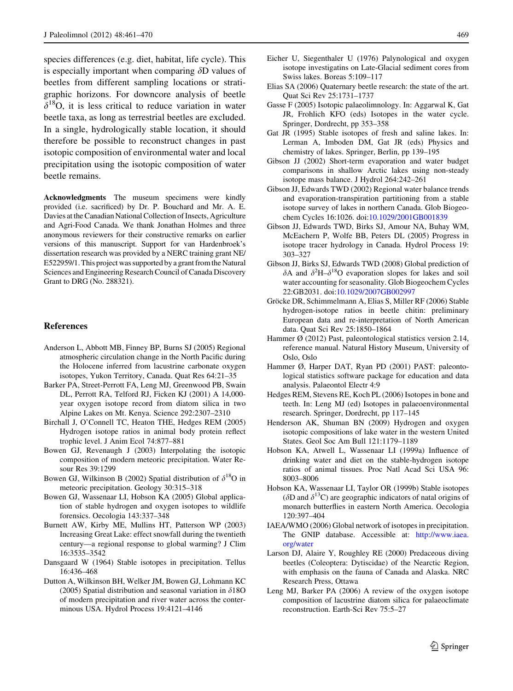<span id="page-8-0"></span>species differences (e.g. diet, habitat, life cycle). This is especially important when comparing  $\delta$ D values of beetles from different sampling locations or stratigraphic horizons. For downcore analysis of beetle  $\delta^{18}$ O, it is less critical to reduce variation in water beetle taxa, as long as terrestrial beetles are excluded. In a single, hydrologically stable location, it should therefore be possible to reconstruct changes in past isotopic composition of environmental water and local precipitation using the isotopic composition of water beetle remains.

Acknowledgments The museum specimens were kindly provided (i.e. sacrificed) by Dr. P. Bouchard and Mr. A. E. Davies at the Canadian National Collection of Insects, Agriculture and Agri-Food Canada. We thank Jonathan Holmes and three anonymous reviewers for their constructive remarks on earlier versions of this manuscript. Support for van Hardenbroek's dissertation research was provided by a NERC training grant NE/ E522959/1. This project was supported by a grant from the Natural Sciences and Engineering Research Council of Canada Discovery Grant to DRG (No. 288321).

#### References

- Anderson L, Abbott MB, Finney BP, Burns SJ (2005) Regional atmospheric circulation change in the North Pacific during the Holocene inferred from lacustrine carbonate oxygen isotopes, Yukon Territory, Canada. Quat Res 64:21–35
- Barker PA, Street-Perrott FA, Leng MJ, Greenwood PB, Swain DL, Perrott RA, Telford RJ, Ficken KJ (2001) A 14,000 year oxygen isotope record from diatom silica in two Alpine Lakes on Mt. Kenya. Science 292:2307–2310
- Birchall J, O'Connell TC, Heaton THE, Hedges REM (2005) Hydrogen isotope ratios in animal body protein reflect trophic level. J Anim Ecol 74:877–881
- Bowen GJ, Revenaugh J (2003) Interpolating the isotopic composition of modern meteoric precipitation. Water Resour Res 39:1299
- Bowen GJ, Wilkinson B (2002) Spatial distribution of  $\delta^{18}O$  in meteoric precipitation. Geology 30:315–318
- Bowen GJ, Wassenaar LI, Hobson KA (2005) Global application of stable hydrogen and oxygen isotopes to wildlife forensics. Oecologia 143:337–348
- Burnett AW, Kirby ME, Mullins HT, Patterson WP (2003) Increasing Great Lake: effect snowfall during the twentieth century—a regional response to global warming? J Clim 16:3535–3542
- Dansgaard W (1964) Stable isotopes in precipitation. Tellus 16:436–468
- Dutton A, Wilkinson BH, Welker JM, Bowen GJ, Lohmann KC (2005) Spatial distribution and seasonal variation in  $\delta$ 18O of modern precipitation and river water across the conterminous USA. Hydrol Process 19:4121–4146
- Eicher U, Siegenthaler U (1976) Palynological and oxygen isotope investigatins on Late-Glacial sediment cores from Swiss lakes. Boreas 5:109–117
- Elias SA (2006) Quaternary beetle research: the state of the art. Quat Sci Rev 25:1731–1737
- Gasse F (2005) Isotopic palaeolimnology. In: Aggarwal K, Gat JR, Frohlich KFO (eds) Isotopes in the water cycle. Springer, Dordrecht, pp 353–358
- Gat JR (1995) Stable isotopes of fresh and saline lakes. In: Lerman A, Imboden DM, Gat JR (eds) Physics and chemistry of lakes. Springer, Berlin, pp 139–195
- Gibson JJ (2002) Short-term evaporation and water budget comparisons in shallow Arctic lakes using non-steady isotope mass balance. J Hydrol 264:242–261
- Gibson JJ, Edwards TWD (2002) Regional water balance trends and evaporation-transpiration partitioning from a stable isotope survey of lakes in northern Canada. Glob Biogeochem Cycles 16:1026. doi:[10.1029/2001GB001839](http://dx.doi.org/10.1029/2001GB001839)
- Gibson JJ, Edwards TWD, Birks SJ, Amour NA, Buhay WM, McEachern P, Wolfe BB, Peters DL (2005) Progress in isotope tracer hydrology in Canada. Hydrol Process 19: 303–327
- Gibson JJ, Birks SJ, Edwards TWD (2008) Global prediction of  $\delta A$  and  $\delta^2 H - \delta^{18} O$  evaporation slopes for lakes and soil water accounting for seasonality. Glob Biogeochem Cycles 22:GB2031. doi[:10.1029/2007GB002997](http://dx.doi.org/10.1029/2007GB002997)
- Gröcke DR, Schimmelmann A, Elias S, Miller RF (2006) Stable hydrogen-isotope ratios in beetle chitin: preliminary European data and re-interpretation of North American data. Quat Sci Rev 25:1850–1864
- Hammer Ø (2012) Past, paleontological statistics version 2.14, reference manual. Natural History Museum, University of Oslo, Oslo
- Hammer Ø, Harper DAT, Ryan PD (2001) PAST: paleontological statistics software package for education and data analysis. Palaeontol Electr 4:9
- Hedges REM, Stevens RE, Koch PL (2006) Isotopes in bone and teeth. In: Leng MJ (ed) Isotopes in palaeoenvironmental research. Springer, Dordrecht, pp 117–145
- Henderson AK, Shuman BN (2009) Hydrogen and oxygen isotopic compositions of lake water in the western United States. Geol Soc Am Bull 121:1179–1189
- Hobson KA, Atwell L, Wassenaar LI (1999a) Influence of drinking water and diet on the stable-hydrogen isotope ratios of animal tissues. Proc Natl Acad Sci USA 96: 8003–8006
- Hobson KA, Wassenaar LI, Taylor OR (1999b) Stable isotopes ( $\delta$ D and  $\delta$ <sup>13</sup>C) are geographic indicators of natal origins of monarch butterflies in eastern North America. Oecologia 120:397–404
- IAEA/WMO (2006) Global network of isotopes in precipitation. The GNIP database. Accessible at: [http://www.iaea.](http://www.iaea.org/water) [org/water](http://www.iaea.org/water)
- Larson DJ, Alaire Y, Roughley RE (2000) Predaceous diving beetles (Coleoptera: Dytiscidae) of the Nearctic Region, with emphasis on the fauna of Canada and Alaska. NRC Research Press, Ottawa
- Leng MJ, Barker PA (2006) A review of the oxygen isotope composition of lacustrine diatom silica for palaeoclimate reconstruction. Earth-Sci Rev 75:5–27